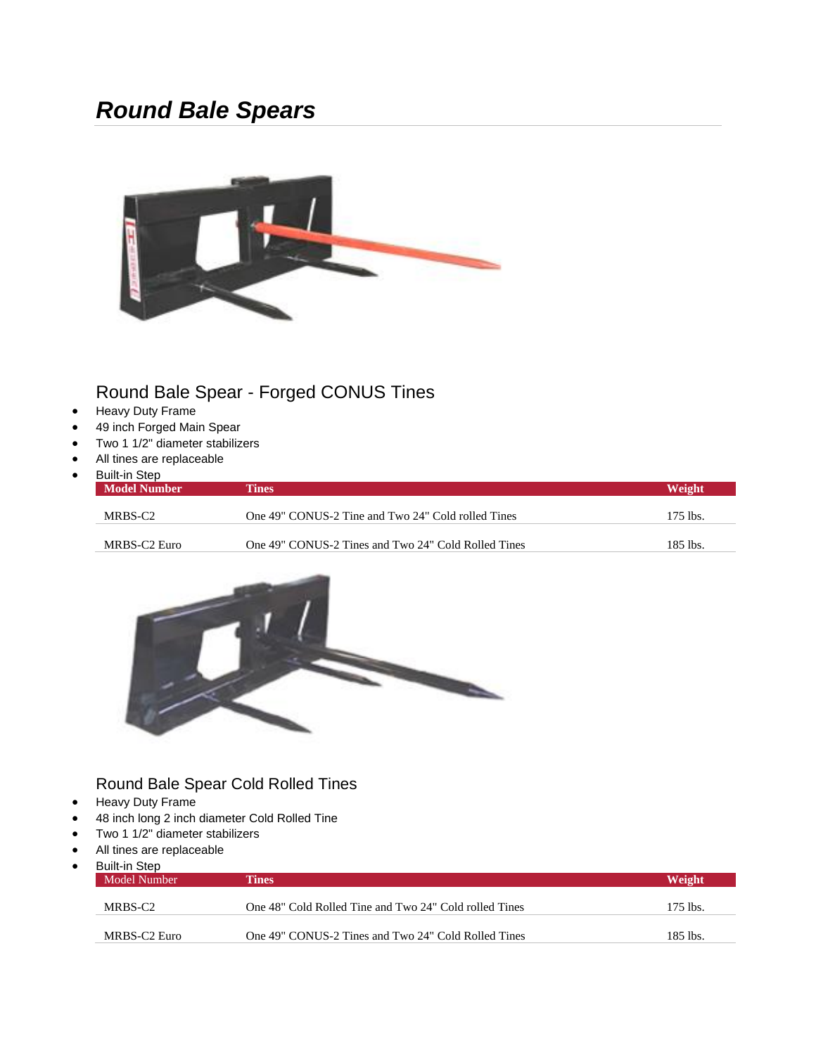# *Round Bale Spears*



### Round Bale Spear - Forged CONUS Tines

- Heavy Duty Frame
- 49 inch Forged Main Spear
- Two 1 1/2" diameter stabilizers
- All tines are replaceable
- Built-in Step

| <b>DUIL III OLUP</b><br><b>Model Number</b> | Tines                                               | Weight   |
|---------------------------------------------|-----------------------------------------------------|----------|
| MRBS-C <sub>2</sub>                         | One 49" CONUS-2 Tine and Two 24" Cold rolled Tines  | 175 lbs. |
| MRBS-C2 Euro                                | One 49" CONUS-2 Tines and Two 24" Cold Rolled Tines | 185 lbs. |



#### Round Bale Spear Cold Rolled Tines

- Heavy Duty Frame
- 48 inch long 2 inch diameter Cold Rolled Tine
- Two 1 1/2" diameter stabilizers
- All tines are replaceable

| Built-in Step<br>Model Number | Tines                                                  | Weight   |
|-------------------------------|--------------------------------------------------------|----------|
| MRBS-C2                       | One 48" Cold Rolled Tine and Two 24" Cold rolled Tines | 175 lbs. |
| MRBS-C2 Euro                  | One 49" CONUS-2 Tines and Two 24" Cold Rolled Tines    | 185 lbs. |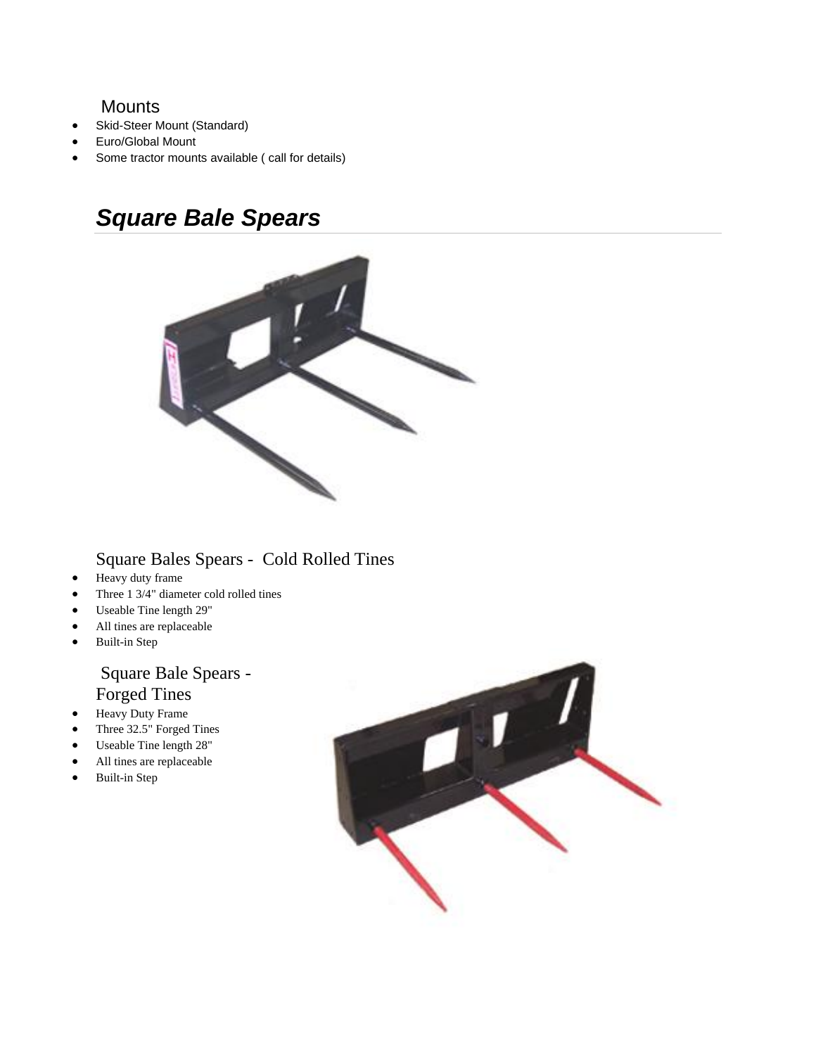#### **Mounts**

- Skid-Steer Mount (Standard)
- Euro/Global Mount
- Some tractor mounts available ( call for details)

# *Square Bale Spears*



#### Square Bales Spears - Cold Rolled Tines

- Heavy duty frame
- Three 1 3/4" diameter cold rolled tines
- Useable Tine length 29"
- All tines are replaceable
- Built-in Step

#### Square Bale Spears - Forged Tines

- Heavy Duty Frame
- Three 32.5" Forged Tines
- Useable Tine length 28"
- All tines are replaceable
- Built-in Step

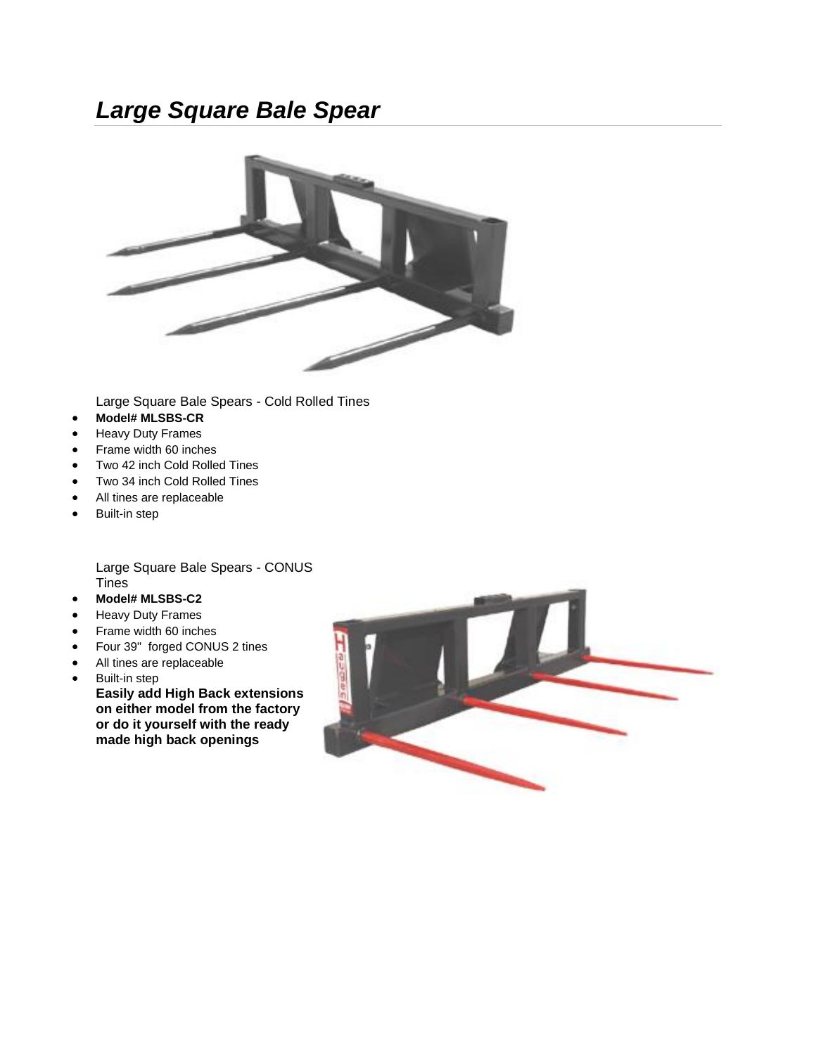# *Large Square Bale Spear*



Large Square Bale Spears - Cold Rolled Tines

- **Model# MLSBS-CR**
- Heavy Duty Frames
- Frame width 60 inches
- Two 42 inch Cold Rolled Tines
- Two 34 inch Cold Rolled Tines
- All tines are replaceable
- Built-in step

Large Square Bale Spears - CONUS **Tines** 

- **Model# MLSBS-C2**
- Heavy Duty Frames
- Frame width 60 inches
- Four 39" forged CONUS 2 tines
- All tines are replaceable
- Built-in step **Easily add High Back extensions on either model from the factory or do it yourself with the ready made high back openings**